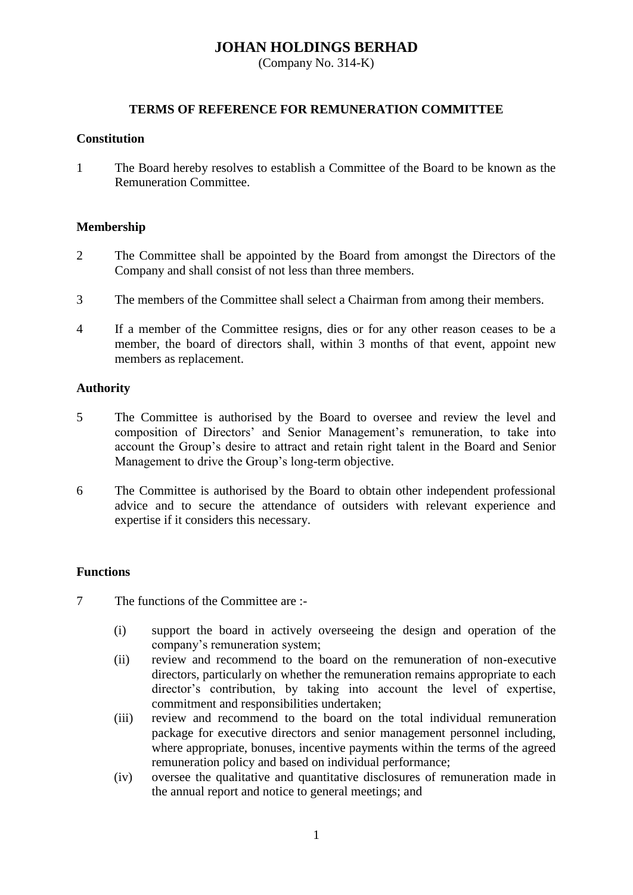# **JOHAN HOLDINGS BERHAD**

(Company No. 314-K)

# **TERMS OF REFERENCE FOR REMUNERATION COMMITTEE**

## **Constitution**

1 The Board hereby resolves to establish a Committee of the Board to be known as the Remuneration Committee.

# **Membership**

- 2 The Committee shall be appointed by the Board from amongst the Directors of the Company and shall consist of not less than three members.
- 3 The members of the Committee shall select a Chairman from among their members.
- 4 If a member of the Committee resigns, dies or for any other reason ceases to be a member, the board of directors shall, within 3 months of that event, appoint new members as replacement.

# **Authority**

- 5 The Committee is authorised by the Board to oversee and review the level and composition of Directors' and Senior Management's remuneration, to take into account the Group's desire to attract and retain right talent in the Board and Senior Management to drive the Group's long-term objective.
- 6 The Committee is authorised by the Board to obtain other independent professional advice and to secure the attendance of outsiders with relevant experience and expertise if it considers this necessary.

# **Functions**

7 The functions of the Committee are :-

- (i) support the board in actively overseeing the design and operation of the company's remuneration system;
- (ii) review and recommend to the board on the remuneration of non-executive directors, particularly on whether the remuneration remains appropriate to each director's contribution, by taking into account the level of expertise, commitment and responsibilities undertaken;
- (iii) review and recommend to the board on the total individual remuneration package for executive directors and senior management personnel including, where appropriate, bonuses, incentive payments within the terms of the agreed remuneration policy and based on individual performance;
- (iv) oversee the qualitative and quantitative disclosures of remuneration made in the annual report and notice to general meetings; and